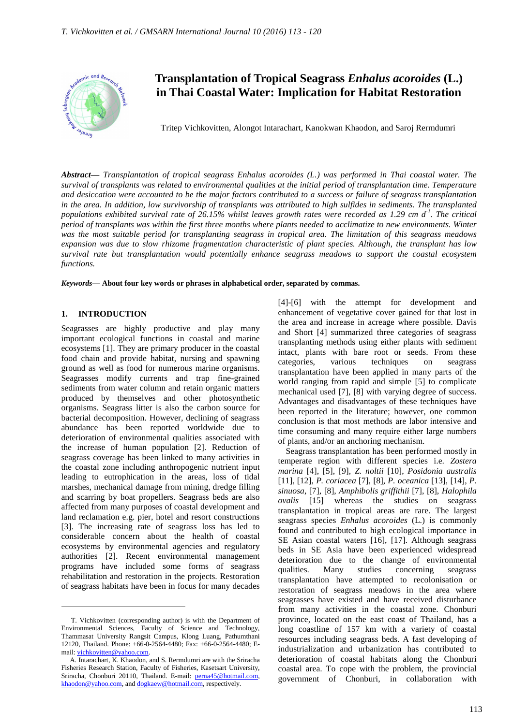

# **Transplantation of Tropical Seagrass** *Enhalus acoroides* **(L.) in Thai Coastal Water: Implication for Habitat Restoration**

Tritep Vichkovitten, Alongot Intarachart, Kanokwan Khaodon, and Saroj Rermdumri

*Abstract***—** *Transplantation of tropical seagrass Enhalus acoroides (L.) was performed in Thai coastal water. The survival of transplants was related to environmental qualities at the initial period of transplantation time. Temperature and desiccation were accounted to be the major factors contributed to a success or failure of seagrass transplantation in the area. In addition, low survivorship of transplants was attributed to high sulfides in sediments. The transplanted populations exhibited survival rate of 26.15% whilst leaves growth rates were recorded as 1.29 cm d-1. The critical period of transplants was within the first three months where plants needed to acclimatize to new environments. Winter was the most suitable period for transplanting seagrass in tropical area. The limitation of this seagrass meadows expansion was due to slow rhizome fragmentation characteristic of plant species. Although, the transplant has low survival rate but transplantation would potentially enhance seagrass meadows to support the coastal ecosystem functions.*

*Keywords***— About four key words or phrases in alphabetical order, separated by commas.**

#### **1. INTRODUCTION**

 $\overline{a}$ 

Seagrasses are highly productive and play many important ecological functions in coastal and marine ecosystems [1]. They are primary producer in the coastal food chain and provide habitat, nursing and spawning ground as well as food for numerous marine organisms. Seagrasses modify currents and trap fine-grained sediments from water column and retain organic matters produced by themselves and other photosynthetic organisms. Seagrass litter is also the carbon source for bacterial decomposition. However, declining of seagrass abundance has been reported worldwide due to deterioration of environmental qualities associated with the increase of human population [2]. Reduction of seagrass coverage has been linked to many activities in the coastal zone including anthropogenic nutrient input leading to eutrophication in the areas, loss of tidal marshes, mechanical damage from mining, dredge filling and scarring by boat propellers. Seagrass beds are also affected from many purposes of coastal development and land reclamation e.g. pier, hotel and resort constructions [3]. The increasing rate of seagrass loss has led to considerable concern about the health of coastal ecosystems by environmental agencies and regulatory authorities [2]. Recent environmental management programs have included some forms of seagrass rehabilitation and restoration in the projects. Restoration of seagrass habitats have been in focus for many decades

[4]-[6] with the attempt for development and enhancement of vegetative cover gained for that lost in the area and increase in acreage where possible. Davis and Short [4] summarized three categories of seagrass transplanting methods using either plants with sediment intact, plants with bare root or seeds. From these categories, various techniques on seagrass transplantation have been applied in many parts of the world ranging from rapid and simple [5] to complicate mechanical used [7], [8] with varying degree of success. Advantages and disadvantages of these techniques have been reported in the literature; however, one common conclusion is that most methods are labor intensive and time consuming and many require either large numbers of plants, and/or an anchoring mechanism.

Seagrass transplantation has been performed mostly in temperate region with different species i.e. *Zostera marina* [4], [5], [9], *Z. noltii* [10], *Posidonia australis* [11], [12], *P. coriacea* [7], [8], *P. oceanica* [13], [14], *P. sinuosa*, [7], [8], *Amphibolis griffithii* [7], [8], *Halophila ovalis* [15] whereas the studies on seagrass transplantation in tropical areas are rare. The largest seagrass species *Enhalus acoroides* (L.) is commonly found and contributed to high ecological importance in SE Asian coastal waters [16], [17]. Although seagrass beds in SE Asia have been experienced widespread deterioration due to the change of environmental qualities. Many studies concerning seagrass transplantation have attempted to recolonisation or restoration of seagrass meadows in the area where seagrasses have existed and have received disturbance from many activities in the coastal zone. Chonburi province, located on the east coast of Thailand, has a long coastline of 157 km with a variety of coastal resources including seagrass beds. A fast developing of industrialization and urbanization has contributed to deterioration of coastal habitats along the Chonburi coastal area. To cope with the problem, the provincial government of Chonburi, in collaboration with

T. Vichkovitten (corresponding author) is with the Department of Environmental Sciences, Faculty of Science and Technology, Thammasat University Rangsit Campus, Klong Luang, Pathumthani 12120, Thailand. Phone: +66-0-2564-4480; Fax: +66-0-2564-4480; Email: vichkovitten@yahoo.com.

A. Intarachart, K. Khaodon, and S. Rermdumri are with the Sriracha Fisheries Research Station, Faculty of Fisheries, Kasetsart University, Sriracha, Chonburi 20110, Thailand. E-mail: perna45@hotmail.com, khaodon@yahoo.com, and dogkaew@hotmail.com, respectively.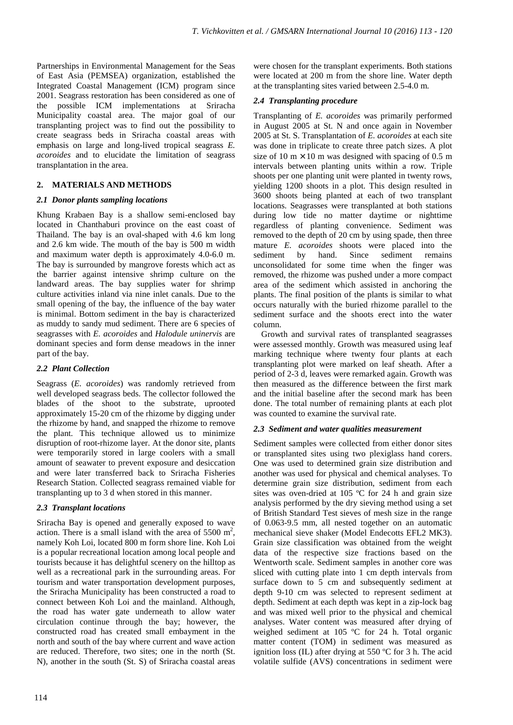Partnerships in Environmental Management for the Seas of East Asia (PEMSEA) organization, established the Integrated Coastal Management (ICM) program since 2001. Seagrass restoration has been considered as one of the possible ICM implementations at Sriracha Municipality coastal area. The major goal of our transplanting project was to find out the possibility to create seagrass beds in Sriracha coastal areas with emphasis on large and long-lived tropical seagrass *E. acoroides* and to elucidate the limitation of seagrass transplantation in the area.

# **2. MATERIALS AND METHODS**

#### *2.1 Donor plants sampling locations*

Khung Krabaen Bay is a shallow semi-enclosed bay located in Chanthaburi province on the east coast of Thailand. The bay is an oval-shaped with 4.6 km long and 2.6 km wide. The mouth of the bay is 500 m width and maximum water depth is approximately 4.0-6.0 m. The bay is surrounded by mangrove forests which act as the barrier against intensive shrimp culture on the landward areas. The bay supplies water for shrimp culture activities inland via nine inlet canals. Due to the small opening of the bay, the influence of the bay water is minimal. Bottom sediment in the bay is characterized as muddy to sandy mud sediment. There are 6 species of seagrasses with *E. acoroides* and *Halodule uninervis* are dominant species and form dense meadows in the inner part of the bay.

# *2.2 Plant Collection*

Seagrass (*E. acoroides*) was randomly retrieved from well developed seagrass beds. The collector followed the blades of the shoot to the substrate, uprooted approximately 15-20 cm of the rhizome by digging under the rhizome by hand, and snapped the rhizome to remove the plant. This technique allowed us to minimize disruption of root-rhizome layer. At the donor site, plants were temporarily stored in large coolers with a small amount of seawater to prevent exposure and desiccation and were later transferred back to Sriracha Fisheries Research Station. Collected seagrass remained viable for transplanting up to 3 d when stored in this manner.

# *2.3 Transplant locations*

Sriracha Bay is opened and generally exposed to wave action. There is a small island with the area of  $5500 \text{ m}^2$ , namely Koh Loi, located 800 m form shore line. Koh Loi is a popular recreational location among local people and tourists because it has delightful scenery on the hilltop as well as a recreational park in the surrounding areas. For tourism and water transportation development purposes, the Sriracha Municipality has been constructed a road to connect between Koh Loi and the mainland. Although, the road has water gate underneath to allow water circulation continue through the bay; however, the constructed road has created small embayment in the north and south of the bay where current and wave action are reduced. Therefore, two sites; one in the north (St. N), another in the south (St. S) of Sriracha coastal areas

were chosen for the transplant experiments. Both stations were located at 200 m from the shore line. Water depth at the transplanting sites varied between 2.5-4.0 m.

## *2.4 Transplanting procedure*

Transplanting of *E. acoroides* was primarily performed in August 2005 at St. N and once again in November 2005 at St. S. Transplantation of *E. acoroides* at each site was done in triplicate to create three patch sizes. A plot size of 10 m  $\times$  10 m was designed with spacing of 0.5 m intervals between planting units within a row. Triple shoots per one planting unit were planted in twenty rows, yielding 1200 shoots in a plot. This design resulted in 3600 shoots being planted at each of two transplant locations. Seagrasses were transplanted at both stations during low tide no matter daytime or nighttime regardless of planting convenience. Sediment was removed to the depth of 20 cm by using spade, then three mature *E. acoroides* shoots were placed into the sediment by hand. Since sediment remains unconsolidated for some time when the finger was removed, the rhizome was pushed under a more compact area of the sediment which assisted in anchoring the plants. The final position of the plants is similar to what occurs naturally with the buried rhizome parallel to the sediment surface and the shoots erect into the water column.

Growth and survival rates of transplanted seagrasses were assessed monthly. Growth was measured using leaf marking technique where twenty four plants at each transplanting plot were marked on leaf sheath. After a period of 2-3 d, leaves were remarked again. Growth was then measured as the difference between the first mark and the initial baseline after the second mark has been done. The total number of remaining plants at each plot was counted to examine the survival rate.

#### *2.3 Sediment and water qualities measurement*

Sediment samples were collected from either donor sites or transplanted sites using two plexiglass hand corers. One was used to determined grain size distribution and another was used for physical and chemical analyses. To determine grain size distribution, sediment from each sites was oven-dried at 105 ºC for 24 h and grain size analysis performed by the dry sieving method using a set of British Standard Test sieves of mesh size in the range of 0.063-9.5 mm, all nested together on an automatic mechanical sieve shaker (Model Endecotts EFL2 MK3). Grain size classification was obtained from the weight data of the respective size fractions based on the Wentworth scale. Sediment samples in another core was sliced with cutting plate into 1 cm depth intervals from surface down to 5 cm and subsequently sediment at depth 9-10 cm was selected to represent sediment at depth. Sediment at each depth was kept in a zip-lock bag and was mixed well prior to the physical and chemical analyses. Water content was measured after drying of weighed sediment at 105 ºC for 24 h. Total organic matter content (TOM) in sediment was measured as ignition loss (IL) after drying at 550 ºC for 3 h. The acid volatile sulfide (AVS) concentrations in sediment were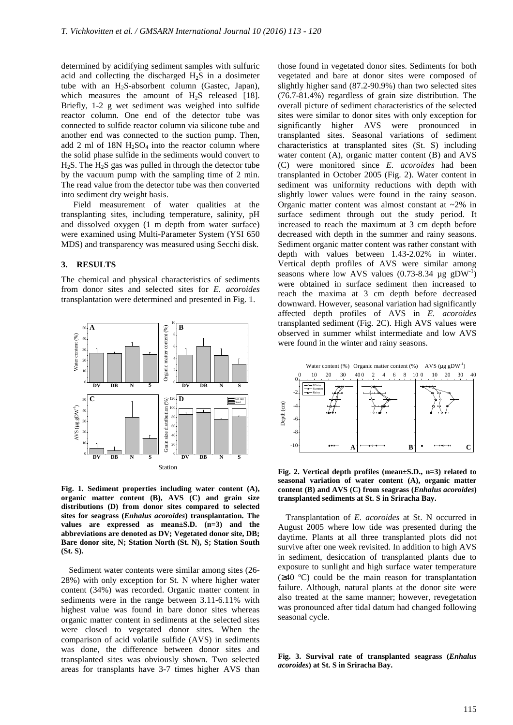determined by acidifying sediment samples with sulfuric acid and collecting the discharged  $H_2S$  in a dosimeter tube with an H2S-absorbent column (Gastec, Japan), which measures the amount of  $H_2S$  released [18]. Briefly, 1-2 g wet sediment was weighed into sulfide reactor column. One end of the detector tube was connected to sulfide reactor column via silicone tube and another end was connected to the suction pump. Then, add 2 ml of  $18N H_2SO_4$  into the reactor column where the solid phase sulfide in the sediments would convert to  $H<sub>2</sub>S$ . The  $H<sub>2</sub>S$  gas was pulled in through the detector tube by the vacuum pump with the sampling time of 2 min. The read value from the detector tube was then converted into sediment dry weight basis.

Field measurement of water qualities at the transplanting sites, including temperature, salinity, pH and dissolved oxygen (1 m depth from water surface) were examined using Multi-Parameter System (YSI 650 MDS) and transparency was measured using Secchi disk.

#### **3. RESULTS**

The chemical and physical characteristics of sediments from donor sites and selected sites for *E. acoroides* transplantation were determined and presented in Fig. 1.



**Fig. 1. Sediment properties including water content (A), organic matter content (B), AVS (C) and grain size distributions (D) from donor sites compared to selected sites for seagrass (***Enhalus acoroides***) transplantation. The values are expressed as mean±S.D. (n=3) and the abbreviations are denoted as DV; Vegetated donor site, DB; Bare donor site, N; Station North (St. N), S; Station South (St. S).**

Sediment water contents were similar among sites (26- 28%) with only exception for St. N where higher water content (34%) was recorded. Organic matter content in sediments were in the range between 3.11-6.11% with highest value was found in bare donor sites whereas organic matter content in sediments at the selected sites were closed to vegetated donor sites. When the comparison of acid volatile sulfide (AVS) in sediments was done, the difference between donor sites and transplanted sites was obviously shown. Two selected areas for transplants have 3-7 times higher AVS than those found in vegetated donor sites. Sediments for both vegetated and bare at donor sites were composed of slightly higher sand (87.2-90.9%) than two selected sites (76.7-81.4%) regardless of grain size distribution. The overall picture of sediment characteristics of the selected sites were similar to donor sites with only exception for significantly higher AVS were pronounced in transplanted sites. Seasonal variations of sediment characteristics at transplanted sites (St. S) including water content (A), organic matter content (B) and AVS (C) were monitored since *E. acoroides* had been transplanted in October 2005 (Fig. 2). Water content in sediment was uniformity reductions with depth with slightly lower values were found in the rainy season. Organic matter content was almost constant at ~2% in surface sediment through out the study period. It increased to reach the maximum at 3 cm depth before decreased with depth in the summer and rainy seasons. Sediment organic matter content was rather constant with depth with values between 1.43-2.02% in winter. Vertical depth profiles of AVS were similar among seasons where low AVS values  $(0.73-8.34 \mu g gDW^{-1})$ were obtained in surface sediment then increased to reach the maxima at 3 cm depth before decreased downward. However, seasonal variation had significantly affected depth profiles of AVS in *E. acoroides* transplanted sediment (Fig. 2C). High AVS values were observed in summer whilst intermediate and low AVS were found in the winter and rainy seasons.



**Fig. 2. Vertical depth profiles (mean±S.D., n=3) related to seasonal variation of water content (A), organic matter content (B) and AVS (C) from seagrass (***Enhalus acoroides***) transplanted sediments at St. S in Sriracha Bay.**

Transplantation of *E. acoroides* at St. N occurred in August 2005 where low tide was presented during the daytime. Plants at all three transplanted plots did not survive after one week revisited. In addition to high AVS in sediment, desiccation of transplanted plants due to exposure to sunlight and high surface water temperature (≥40 ºC) could be the main reason for transplantation failure. Although, natural plants at the donor site were also treated at the same manner; however, revegetation was pronounced after tidal datum had changed following seasonal cycle.

**Fig. 3. Survival rate of transplanted seagrass (***Enhalus acoroides***) at St. S in Sriracha Bay.**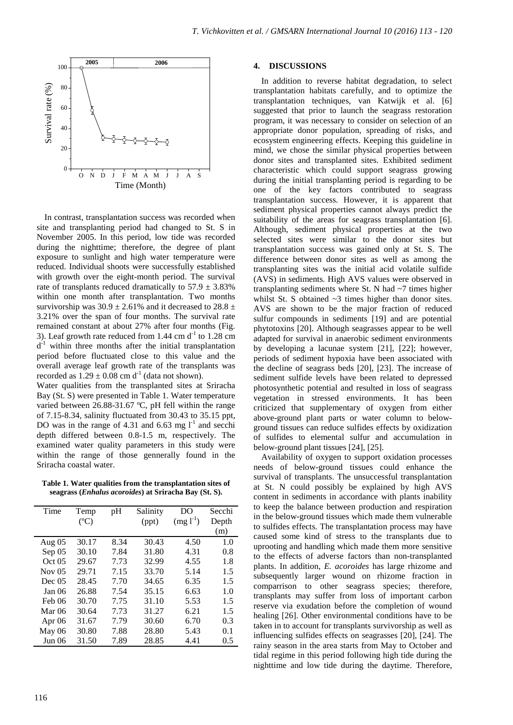

In contrast, transplantation success was recorded when site and transplanting period had changed to St. S in November 2005. In this period, low tide was recorded during the nighttime; therefore, the degree of plant exposure to sunlight and high water temperature were reduced. Individual shoots were successfully established with growth over the eight-month period. The survival rate of transplants reduced dramatically to  $57.9 \pm 3.83\%$ within one month after transplantation. Two months survivorship was  $30.9 \pm 2.61\%$  and it decreased to  $28.8 \pm$ 3.21% over the span of four months. The survival rate remained constant at about 27% after four months (Fig. 3). Leaf growth rate reduced from  $1.44 \text{ cm d}^{-1}$  to  $1.28 \text{ cm}$  $d^{-1}$  within three months after the initial transplantation period before fluctuated close to this value and the overall average leaf growth rate of the transplants was recorded as  $1.29 \pm 0.08$  cm d<sup>-1</sup> (data not shown).

Water qualities from the transplanted sites at Sriracha Bay (St. S) were presented in Table 1. Water temperature varied between 26.88-31.67 ºC, pH fell within the range of 7.15-8.34, salinity fluctuated from 30.43 to 35.15 ppt, DO was in the range of 4.31 and 6.63 mg  $l^{-1}$  and secchi depth differed between 0.8-1.5 m, respectively. The examined water quality parameters in this study were within the range of those gennerally found in the Sriracha coastal water.

**Table 1. Water qualities from the transplantation sites of seagrass (***Enhalus acoroides***) at Sriracha Bay (St. S).** 

| Time     | Temp<br>$(^{\circ}C)$ | pH   | Salinity<br>(ppt) | DO<br>$(mg 1-1)$ | Secchi<br>Depth<br>(m) |
|----------|-----------------------|------|-------------------|------------------|------------------------|
| Aug $05$ | 30.17                 | 8.34 | 30.43             | 4.50             | 1.0                    |
| Sep 05   | 30.10                 | 7.84 | 31.80             | 4.31             | 0.8                    |
| Oct 05   | 29.67                 | 7.73 | 32.99             | 4.55             | 1.8                    |
| Nov $05$ | 29.71                 | 7.15 | 33.70             | 5.14             | 1.5                    |
| Dec~0.5  | 28.45                 | 7.70 | 34.65             | 6.35             | 1.5                    |
| Jan 06   | 26.88                 | 7.54 | 35.15             | 6.63             | 1.0                    |
| Feb 06   | 30.70                 | 7.75 | 31.10             | 5.53             | 1.5                    |
| Mar $06$ | 30.64                 | 7.73 | 31.27             | 6.21             | 1.5                    |
| Apr $06$ | 31.67                 | 7.79 | 30.60             | 6.70             | 0.3                    |
| May 06   | 30.80                 | 7.88 | 28.80             | 5.43             | 0.1                    |
| Jun 06   | 31.50                 | 7.89 | 28.85             | 4.41             | 0.5                    |

#### **4. DISCUSSIONS**

In addition to reverse habitat degradation, to select transplantation habitats carefully, and to optimize the transplantation techniques, van Katwijk et al. [6] suggested that prior to launch the seagrass restoration program, it was necessary to consider on selection of an appropriate donor population, spreading of risks, and ecosystem engineering effects. Keeping this guideline in mind, we chose the similar physical properties between donor sites and transplanted sites. Exhibited sediment characteristic which could support seagrass growing during the initial transplanting period is regarding to be one of the key factors contributed to seagrass transplantation success. However, it is apparent that sediment physical properties cannot always predict the suitability of the areas for seagrass transplantation [6]. Although, sediment physical properties at the two selected sites were similar to the donor sites but transplantation success was gained only at St. S. The difference between donor sites as well as among the transplanting sites was the initial acid volatile sulfide (AVS) in sediments. High AVS values were observed in transplanting sediments where St. N had  $\sim$ 7 times higher whilst St. S obtained  $\sim$ 3 times higher than donor sites. AVS are shown to be the major fraction of reduced sulfur compounds in sediments [19] and are potential phytotoxins [20]. Although seagrasses appear to be well adapted for survival in anaerobic sediment environments by developing a lacunae system [21], [22]; however, periods of sediment hypoxia have been associated with the decline of seagrass beds [20], [23]. The increase of sediment sulfide levels have been related to depressed photosynthetic potential and resulted in loss of seagrass vegetation in stressed environments. It has been criticized that supplementary of oxygen from either above-ground plant parts or water column to belowground tissues can reduce sulfides effects by oxidization of sulfides to elemental sulfur and accumulation in below-ground plant tissues [24], [25].

Availability of oxygen to support oxidation processes needs of below-ground tissues could enhance the survival of transplants. The unsuccessful transplantation at St. N could possibly be explained by high AVS content in sediments in accordance with plants inability to keep the balance between production and respiration in the below-ground tissues which made them vulnerable to sulfides effects. The transplantation process may have caused some kind of stress to the transplants due to uprooting and handling which made them more sensitive to the effects of adverse factors than non-transplanted plants. In addition, *E. acoroides* has large rhizome and subsequently larger wound on rhizome fraction in comparrison to other seagrass species; therefore, transplants may suffer from loss of important carbon reserve via exudation before the completion of wound healing [26]. Other environmental conditions have to be taken in to account for transplants survivorship as well as influencing sulfides effects on seagrasses [20], [24]. The rainy season in the area starts from May to October and tidal regime in this period following high tide during the nighttime and low tide during the daytime. Therefore,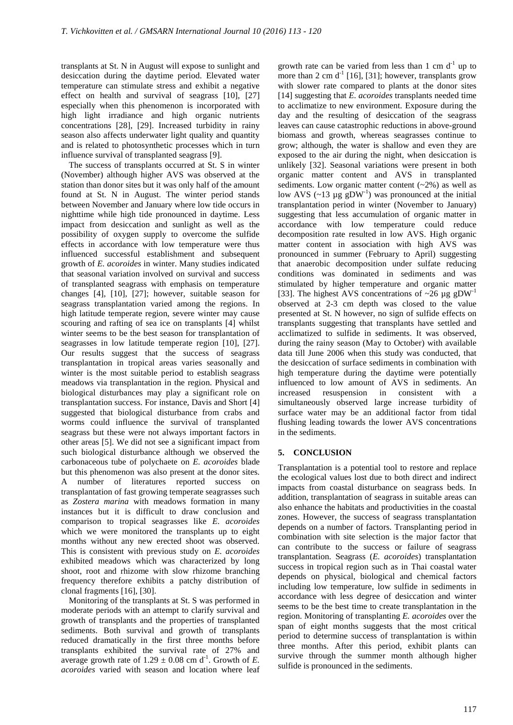transplants at St. N in August will expose to sunlight and desiccation during the daytime period. Elevated water temperature can stimulate stress and exhibit a negative effect on health and survival of seagrass [10], [27] especially when this phenomenon is incorporated with high light irradiance and high organic nutrients concentrations [28], [29]. Increased turbidity in rainy season also affects underwater light quality and quantity and is related to photosynthetic processes which in turn influence survival of transplanted seagrass [9].

The success of transplants occurred at St. S in winter (November) although higher AVS was observed at the station than donor sites but it was only half of the amount found at St. N in August. The winter period stands between November and January where low tide occurs in nighttime while high tide pronounced in daytime. Less impact from desiccation and sunlight as well as the possibility of oxygen supply to overcome the sulfide effects in accordance with low temperature were thus influenced successful establishment and subsequent growth of *E. acoroides* in winter. Many studies indicated that seasonal variation involved on survival and success of transplanted seagrass with emphasis on temperature changes [4], [10], [27]; however, suitable season for seagrass transplantation varied among the regions. In high latitude temperate region, severe winter may cause scouring and rafting of sea ice on transplants [4] whilst winter seems to be the best season for transplantation of seagrasses in low latitude temperate region [10], [27]. Our results suggest that the success of seagrass transplantation in tropical areas varies seasonally and winter is the most suitable period to establish seagrass meadows via transplantation in the region. Physical and biological disturbances may play a significant role on transplantation success. For instance, Davis and Short [4] suggested that biological disturbance from crabs and worms could influence the survival of transplanted seagrass but these were not always important factors in other areas [5]. We did not see a significant impact from such biological disturbance although we observed the carbonaceous tube of polychaete on *E. acoroides* blade but this phenomenon was also present at the donor sites. A number of literatures reported success on transplantation of fast growing temperate seagrasses such as *Zostera marina* with meadows formation in many instances but it is difficult to draw conclusion and comparison to tropical seagrasses like *E. acoroides* which we were monitored the transplants up to eight months without any new erected shoot was observed. This is consistent with previous study on *E. acoroides* exhibited meadows which was characterized by long shoot, root and rhizome with slow rhizome branching frequency therefore exhibits a patchy distribution of clonal fragments [16], [30].

Monitoring of the transplants at St. S was performed in moderate periods with an attempt to clarify survival and growth of transplants and the properties of transplanted sediments. Both survival and growth of transplants reduced dramatically in the first three months before transplants exhibited the survival rate of 27% and average growth rate of  $1.29 \pm 0.08$  cm d<sup>-1</sup>. Growth of *E*. *acoroides* varied with season and location where leaf growth rate can be varied from less than 1 cm  $d^{-1}$  up to more than 2 cm  $d^{-1}$  [16], [31]; however, transplants grow with slower rate compared to plants at the donor sites [14] suggesting that *E. acoroides* transplants needed time to acclimatize to new environment. Exposure during the day and the resulting of desiccation of the seagrass leaves can cause catastrophic reductions in above-ground biomass and growth, whereas seagrasses continue to grow; although, the water is shallow and even they are exposed to the air during the night, when desiccation is unlikely [32]. Seasonal variations were present in both organic matter content and AVS in transplanted sediments. Low organic matter content  $(-2%)$  as well as low AVS  $(\sim 13 \mu g)$  gDW<sup>-1</sup>) was pronounced at the initial transplantation period in winter (November to January) suggesting that less accumulation of organic matter in accordance with low temperature could reduce decomposition rate resulted in low AVS. High organic matter content in association with high AVS was pronounced in summer (February to April) suggesting that anaerobic decomposition under sulfate reducing conditions was dominated in sediments and was stimulated by higher temperature and organic matter [33]. The highest AVS concentrations of  $\sim$ 26 µg gDW<sup>-1</sup> observed at 2-3 cm depth was closed to the value presented at St. N however, no sign of sulfide effects on transplants suggesting that transplants have settled and acclimatized to sulfide in sediments. It was observed, during the rainy season (May to October) with available data till June 2006 when this study was conducted, that the desiccation of surface sediments in combination with high temperature during the daytime were potentially influenced to low amount of AVS in sediments. An increased resuspension in consistent with a simultaneously observed large increase turbidity of surface water may be an additional factor from tidal flushing leading towards the lower AVS concentrations in the sediments.

## **5. CONCLUSION**

Transplantation is a potential tool to restore and replace the ecological values lost due to both direct and indirect impacts from coastal disturbance on seagrass beds. In addition, transplantation of seagrass in suitable areas can also enhance the habitats and productivities in the coastal zones. However, the success of seagrass transplantation depends on a number of factors. Transplanting period in combination with site selection is the major factor that can contribute to the success or failure of seagrass transplantation. Seagrass (*E. acoroides*) transplantation success in tropical region such as in Thai coastal water depends on physical, biological and chemical factors including low temperature, low sulfide in sediments in accordance with less degree of desiccation and winter seems to be the best time to create transplantation in the region. Monitoring of transplanting *E. acoroides* over the span of eight months suggests that the most critical period to determine success of transplantation is within three months. After this period, exhibit plants can survive through the summer month although higher sulfide is pronounced in the sediments.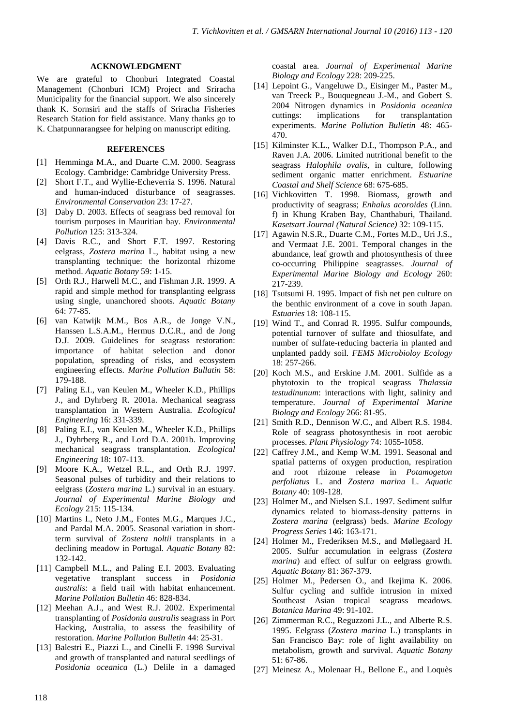#### **ACKNOWLEDGMENT**

We are grateful to Chonburi Integrated Coastal Management (Chonburi ICM) Project and Sriracha Municipality for the financial support. We also sincerely thank K. Sornsiri and the staffs of Sriracha Fisheries Research Station for field assistance. Many thanks go to K. Chatpunnarangsee for helping on manuscript editing.

#### **REFERENCES**

- [1] Hemminga M.A., and Duarte C.M. 2000. Seagrass Ecology. Cambridge: Cambridge University Press.
- [2] Short F.T., and Wyllie-Echeverria S. 1996. Natural and human-induced disturbance of seagrasses. *Environmental Conservation* 23: 17-27.
- [3] Daby D. 2003. Effects of seagrass bed removal for tourism purposes in Mauritian bay. *Environmental Pollution* 125: 313-324.
- [4] Davis R.C., and Short F.T. 1997. Restoring eelgrass, *Zostera marina* L., habitat using a new transplanting technique: the horizontal rhizome method. *Aquatic Botany* 59: 1-15.
- [5] Orth R.J., Harwell M.C., and Fishman J.R. 1999. A rapid and simple method for transplanting eelgrass using single, unanchored shoots. *Aquatic Botany* 64: 77-85.
- [6] van Katwijk M.M., Bos A.R., de Jonge V.N., Hanssen L.S.A.M., Hermus D.C.R., and de Jong D.J. 2009. Guidelines for seagrass restoration: importance of habitat selection and donor population, spreading of risks, and ecosystem engineering effects. *Marine Pollution Bullatin* 58: 179-188.
- [7] Paling E.I., van Keulen M., Wheeler K.D., Phillips J., and Dyhrberg R. 2001a. Mechanical seagrass transplantation in Western Australia. *Ecological Engineering* 16: 331-339.
- [8] Paling E.I., van Keulen M., Wheeler K.D., Phillips J., Dyhrberg R., and Lord D.A. 2001b. Improving mechanical seagrass transplantation. *Ecological Engineering* 18: 107-113.
- [9] Moore K.A., Wetzel R.L., and Orth R.J. 1997. Seasonal pulses of turbidity and their relations to eelgrass (*Zostera marina* L.) survival in an estuary. *Journal of Experimental Marine Biology and Ecology* 215: 115-134.
- [10] Martins I., Neto J.M., Fontes M.G., Marques J.C., and Pardal M.A. 2005. Seasonal variation in shortterm survival of *Zostera noltii* transplants in a declining meadow in Portugal. *Aquatic Botany* 82: 132-142.
- [11] Campbell M.L., and Paling E.I. 2003. Evaluating vegetative transplant success in *Posidonia australis*: a field trail with habitat enhancement. *Marine Pollution Bulletin* 46: 828-834.
- [12] Meehan A.J., and West R.J. 2002. Experimental transplanting of *Posidonia australis* seagrass in Port Hacking, Australia, to assess the feasibility of restoration. *Marine Pollution Bulletin* 44: 25-31.
- [13] Balestri E., Piazzi L., and Cinelli F. 1998 Survival and growth of transplanted and natural seedlings of *Posidonia oceanica* (L.) Delile in a damaged

coastal area. *Journal of Experimental Marine Biology and Ecology* 228: 209-225.

- [14] Lepoint G., Vangeluwe D., Eisinger M., Paster M., van Treeck P., Bouquegneau J.-M., and Gobert S. 2004 Nitrogen dynamics in *Posidonia oceanica* cuttings: implications for transplantation experiments. *Marine Pollution Bulletin* 48: 465- 470.
- [15] Kilminster K.L., Walker D.I., Thompson P.A., and Raven J.A. 2006. Limited nutritional benefit to the seagrass *Halophila ovalis*, in culture, following sediment organic matter enrichment. *Estuarine Coastal and Shelf Science* 68: 675-685.
- [16] Vichkovitten T. 1998. Biomass, growth and productivity of seagrass; *Enhalus acoroides* (Linn. f) in Khung Kraben Bay, Chanthaburi, Thailand. *Kasetsart Journal (Natural Science)* 32: 109-115.
- [17] Agawin N.S.R., Duarte C.M., Fortes M.D., Uri J.S., and Vermaat J.E. 2001. Temporal changes in the abundance, leaf growth and photosynthesis of three co-occurring Philippine seagrasses. *Journal of Experimental Marine Biology and Ecology* 260: 217-239.
- [18] Tsutsumi H. 1995. Impact of fish net pen culture on the benthic environment of a cove in south Japan. *Estuaries* 18: 108-115.
- [19] Wind T., and Conrad R. 1995. Sulfur compounds, potential turnover of sulfate and thiosulfate, and number of sulfate-reducing bacteria in planted and unplanted paddy soil. *FEMS Microbioloy Ecology* 18: 257-266.
- [20] Koch M.S., and Erskine J.M. 2001. Sulfide as a phytotoxin to the tropical seagrass *Thalassia testudinunum*: interactions with light, salinity and temperature. *Journal of Experimental Marine Biology and Ecology* 266: 81-95.
- [21] Smith R.D., Dennison W.C., and Albert R.S. 1984. Role of seagrass photosynthesis in root aerobic processes. *Plant Physiology* 74: 1055-1058.
- [22] Caffrey J.M., and Kemp W.M. 1991. Seasonal and spatial patterns of oxygen production, respiration and root rhizome release in *Potamogeton perfoliatus* L. and *Zostera marina* L. *Aquatic Botany* 40: 109-128.
- [23] Holmer M., and Nielsen S.L. 1997. Sediment sulfur dynamics related to biomass-density patterns in *Zostera marina* (eelgrass) beds. *Marine Ecology Progress Series* 146: 163-171.
- [24] Holmer M., Frederiksen M.S., and Møllegaard H. 2005. Sulfur accumulation in eelgrass (*Zostera marina*) and effect of sulfur on eelgrass growth. *Aquatic Botany* 81: 367-379.
- [25] Holmer M., Pedersen O., and Ikejima K. 2006. Sulfur cycling and sulfide intrusion in mixed Southeast Asian tropical seagrass meadows. *Botanica Marina* 49: 91-102.
- [26] Zimmerman R.C., Reguzzoni J.L., and Alberte R.S. 1995. Eelgrass (*Zostera marina* L.) transplants in San Francisco Bay: role of light availability on metabolism, growth and survival. *Aquatic Botany* 51: 67-86.
- [27] Meinesz A., Molenaar H., Bellone E., and Loquès